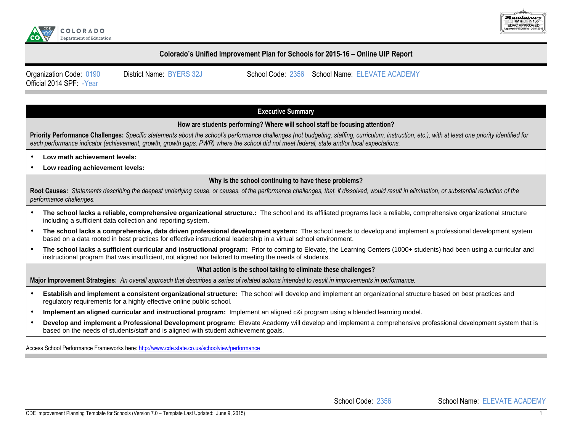



#### **Colorado's Unified Improvement Plan for Schools for 2015-16 – Online UIP Report**

| Organization Code: 0190   | District Name: BYERS 32J |  | School Code: 2356 School Name: ELEVATE ACADEMY |
|---------------------------|--------------------------|--|------------------------------------------------|
| Official 2014 SPF: - Year |                          |  |                                                |

## **Executive Summary**

#### **How are students performing? Where will school staff be focusing attention?**

Priority Performance Challenges: Specific statements about the school's performance challenges (not budgeting, staffing, curriculum, instruction, etc.), with at least one priority identified for each performance indicator (achievement, growth, growth gaps, PWR) where the school did not meet federal, state and/or local expectations.

- **Low math achievement levels:**
- **Low reading achievement levels:**

#### **Why is the school continuing to have these problems?**

Root Causes: Statements describing the deepest underlying cause, or causes, of the performance challenges, that, if dissolved, would result in elimination, or substantial reduction of the *performance challenges.*

- **The school lacks a reliable, comprehensive organizational structure.:** The school and its affiliated programs lack a reliable, comprehensive organizational structure including a sufficient data collection and reporting system.
- The school lacks a comprehensive, data driven professional development system: The school needs to develop and implement a professional development system based on a data rooted in best practices for effective instructional leadership in a virtual school environment.
- The school lacks a sufficient curricular and instructional program: Prior to coming to Elevate, the Learning Centers (1000+ students) had been using a curricular and instructional program that was insufficient, not aligned nor tailored to meeting the needs of students.

#### **What action is the school taking to eliminate these challenges?**

Major Improvement Strategies: An overall approach that describes a series of related actions intended to result in improvements in performance.

- **Establish and implement a consistent organizational structure:** The school will develop and implement an organizational structure based on best practices and regulatory requirements for a highly effective online public school.
- **Implement an aligned curricular and instructional program:** Implement an aligned c&i program using a blended learning model.
- **Develop and implement a Professional Development program:** Elevate Academy will develop and implement a comprehensive professional development system that is based on the needs of students/staff and is aligned with student achievement goals.

Access School Performance Frameworks here: <http://www.cde.state.co.us/schoolview/performance>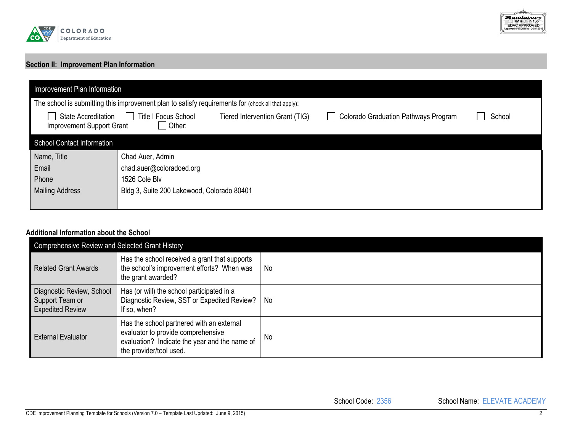



## **Section II: Improvement Plan Information**

| Improvement Plan Information                                                                                                                                                                        |                                                                                                    |  |  |
|-----------------------------------------------------------------------------------------------------------------------------------------------------------------------------------------------------|----------------------------------------------------------------------------------------------------|--|--|
|                                                                                                                                                                                                     | The school is submitting this improvement plan to satisfy requirements for (check all that apply): |  |  |
| Title I Focus School<br><b>Colorado Graduation Pathways Program</b><br><b>State Accreditation</b><br>Tiered Intervention Grant (TIG)<br>School<br>$\Box$ Other:<br><b>Improvement Support Grant</b> |                                                                                                    |  |  |
| School Contact Information                                                                                                                                                                          |                                                                                                    |  |  |
| Name, Title                                                                                                                                                                                         | Chad Auer, Admin                                                                                   |  |  |
| Email                                                                                                                                                                                               | chad.auer@coloradoed.org                                                                           |  |  |
| Phone                                                                                                                                                                                               | 1526 Cole Blv                                                                                      |  |  |
| <b>Mailing Address</b>                                                                                                                                                                              | Bldg 3, Suite 200 Lakewood, Colorado 80401                                                         |  |  |
|                                                                                                                                                                                                     |                                                                                                    |  |  |

## **Additional Information about the School**

| <b>Comprehensive Review and Selected Grant History</b>                  |                                                                                                                                                             |    |  |
|-------------------------------------------------------------------------|-------------------------------------------------------------------------------------------------------------------------------------------------------------|----|--|
| <b>Related Grant Awards</b>                                             | Has the school received a grant that supports<br>the school's improvement efforts? When was<br>the grant awarded?                                           | No |  |
| Diagnostic Review, School<br>Support Team or<br><b>Expedited Review</b> | Has (or will) the school participated in a<br>Diagnostic Review, SST or Expedited Review?<br>If so, when?                                                   | No |  |
| <b>External Evaluator</b>                                               | Has the school partnered with an external<br>evaluator to provide comprehensive<br>evaluation? Indicate the year and the name of<br>the provider/tool used. | No |  |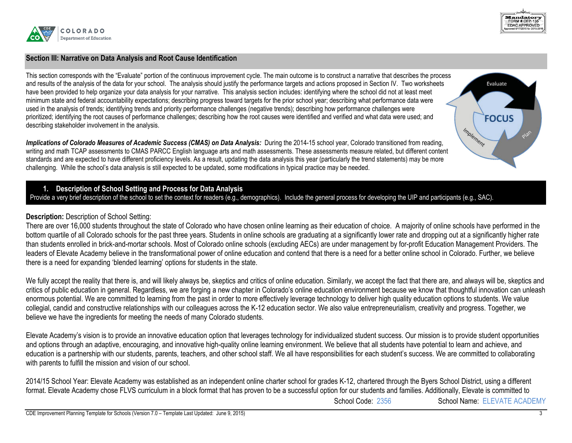



Evaluate

**FOCUS** 

Implement

#### **Section III: Narrative on Data Analysis and Root Cause Identification**

This section corresponds with the "Evaluate" portion of the continuous improvement cycle. The main outcome is to construct a narrative that describes the process and results of the analysis of the data for your school. The analysis should justify the performance targets and actions proposed in Section IV. Two worksheets have been provided to help organize your data analysis for your narrative. This analysis section includes: identifying where the school did not at least meet minimum state and federal accountability expectations; describing progress toward targets for the prior school year; describing what performance data were used in the analysis of trends; identifying trends and priority performance challenges (negative trends); describing how performance challenges were prioritized; identifying the root causes of performance challenges; describing how the root causes were identified and verified and what data were used; and describing stakeholder involvement in the analysis.

*Implications of Colorado Measures of Academic Success (CMAS) on Data Analysis:* During the 2014-15 school year, Colorado transitioned from reading, writing and math TCAP assessments to CMAS PARCC English language arts and math assessments. These assessments measure related, but different content standards and are expected to have different proficiency levels. As a result, updating the data analysis this year (particularly the trend statements) may be more challenging. While the school's data analysis is still expected to be updated, some modifications in typical practice may be needed.

## **1. Description of School Setting and Process for Data Analysis**

Provide a very brief description of the school to set the context for readers (e.g., demographics). Include the general process for developing the UIP and participants (e.g., SAC).

#### **Description:** Description of School Setting:

There are over 16,000 students throughout the state of Colorado who have chosen online learning as their education of choice. A majority of online schools have performed in the bottom quartile of all Colorado schools for the past three years. Students in online schools are graduating at a significantly lower rate and dropping out at a significantly higher rate than students enrolled in brick-and-mortar schools. Most of Colorado online schools (excluding AECs) are under management by for-profit Education Management Providers. The leaders of Elevate Academy believe in the transformational power of online education and contend that there is a need for a better online school in Colorado. Further, we believe there is a need for expanding 'blended learning' options for students in the state.

We fully accept the reality that there is, and will likely always be, skeptics and critics of online education. Similarly, we accept the fact that there are, and always will be, skeptics and critics of public education in general. Regardless, we are forging a new chapter in Colorado's online education environment because we know that thoughtful innovation can unleash enormous potential. We are committed to learning from the past in order to more effectively leverage technology to deliver high quality education options to students. We value collegial, candid and constructive relationships with our colleagues across the K-12 education sector. We also value entrepreneurialism, creativity and progress. Together, we believe we have the ingredients for meeting the needs of many Colorado students.

Elevate Academy's vision is to provide an innovative education option that leverages technology for individualized student success. Our mission is to provide student opportunities and options through an adaptive, encouraging, and innovative high-quality online learning environment. We believe that all students have potential to learn and achieve, and education is a partnership with our students, parents, teachers, and other school staff. We all have responsibilities for each student's success. We are committed to collaborating with parents to fulfill the mission and vision of our school.

School Code: 2356 School Name: ELEVATE ACADEMY 2014/15 School Year: Elevate Academy was established as an independent online charter school for grades K-12, chartered through the Byers School District, using a different format. Elevate Academy chose FLVS curriculum in a block format that has proven to be a successful option for our students and families. Additionally, Elevate is committed to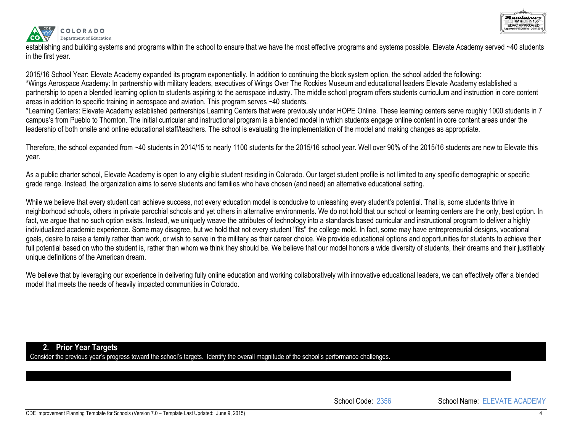



establishing and building systems and programs within the school to ensure that we have the most effective programs and systems possible. Elevate Academy served ~40 students in the first year.

2015/16 School Year: Elevate Academy expanded its program exponentially. In addition to continuing the block system option, the school added the following: \*Wings Aerospace Academy: In partnership with military leaders, executives of Wings Over The Rockies Museum and educational leaders Elevate Academy established a partnership to open a blended learning option to students aspiring to the aerospace industry. The middle school program offers students curriculum and instruction in core content areas in addition to specific training in aerospace and aviation. This program serves ~40 students.

\*Learning Centers: Elevate Academy established partnerships Learning Centers that were previously under HOPE Online. These learning centers serve roughly 1000 students in 7 campus's from Pueblo to Thornton. The initial curricular and instructional program is a blended model in which students engage online content in core content areas under the leadership of both onsite and online educational staff/teachers. The school is evaluating the implementation of the model and making changes as appropriate.

Therefore, the school expanded from ~40 students in 2014/15 to nearly 1100 students for the 2015/16 school year. Well over 90% of the 2015/16 students are new to Elevate this year.

As a public charter school, Elevate Academy is open to any eligible student residing in Colorado. Our target student profile is not limited to any specific demographic or specific grade range. Instead, the organization aims to serve students and families who have chosen (and need) an alternative educational setting.

While we believe that every student can achieve success, not every education model is conducive to unleashing every student's potential. That is, some students thrive in neighborhood schools, others in private parochial schools and yet others in alternative environments. We do not hold that our school or learning centers are the only, best option. In fact, we argue that no such option exists. Instead, we uniquely weave the attributes of technology into a standards based curricular and instructional program to deliver a highly individualized academic experience. Some may disagree, but we hold that not every student ''fits'' the college mold. In fact, some may have entrepreneurial designs, vocational goals, desire to raise a family rather than work, or wish to serve in the military as their career choice. We provide educational options and opportunities for students to achieve their full potential based on who the student is, rather than whom we think they should be. We believe that our model honors a wide diversity of students, their dreams and their justifiably unique definitions of the American dream.

We believe that by leveraging our experience in delivering fully online education and working collaboratively with innovative educational leaders, we can effectively offer a blended model that meets the needs of heavily impacted communities in Colorado.

## **2. Prior Year Targets** Consider the previous year's progress toward the school's targets. Identify the overall magnitude of the school's performance challenges.

School Code: 2356 School Name: ELEVATE ACADEMY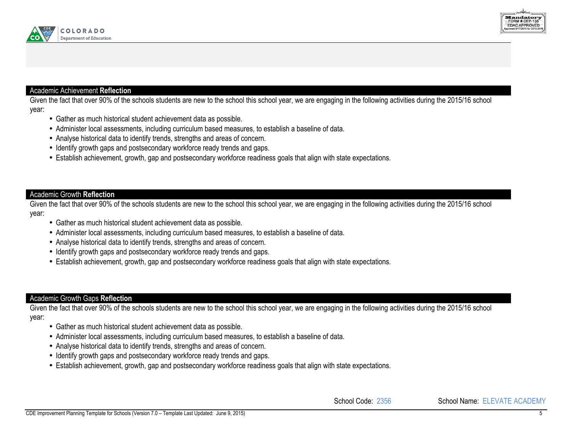



#### Academic Achievement **Reflection**

Given the fact that over 90% of the schools students are new to the school this school year, we are engaging in the following activities during the 2015/16 school year:

- Gather as much historical student achievement data as possible.
- Administer local assessments, including curriculum based measures, to establish a baseline of data.
- Analyse historical data to identify trends, strengths and areas of concern.
- Identify growth gaps and postsecondary workforce ready trends and gaps.
- Establish achievement, growth, gap and postsecondary workforce readiness goals that align with state expectations.

#### Academic Growth **Reflection**

Given the fact that over 90% of the schools students are new to the school this school year, we are engaging in the following activities during the 2015/16 school year:

- Gather as much historical student achievement data as possible.
- Administer local assessments, including curriculum based measures, to establish a baseline of data.
- Analyse historical data to identify trends, strengths and areas of concern.
- Identify growth gaps and postsecondary workforce ready trends and gaps.
- Establish achievement, growth, gap and postsecondary workforce readiness goals that align with state expectations.

#### Academic Growth Gaps **Reflection**

Given the fact that over 90% of the schools students are new to the school this school year, we are engaging in the following activities during the 2015/16 school year:

- Gather as much historical student achievement data as possible.
- Administer local assessments, including curriculum based measures, to establish a baseline of data.
- Analyse historical data to identify trends, strengths and areas of concern.
- Identify growth gaps and postsecondary workforce ready trends and gaps.
- Establish achievement, growth, gap and postsecondary workforce readiness goals that align with state expectations.

School Code: 2356 School Name: ELEVATE ACADEMY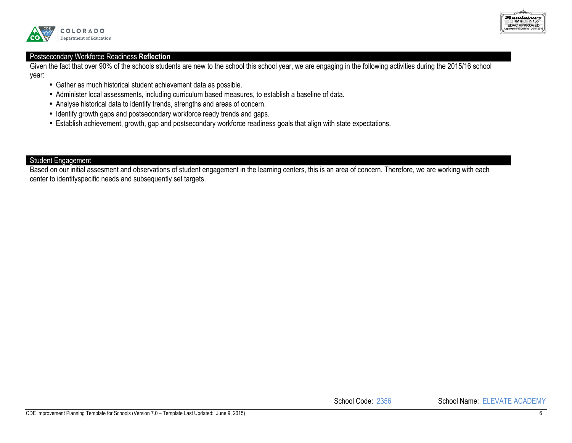



## Postsecondary Workforce Readiness **Reflection**

Given the fact that over 90% of the schools students are new to the school this school year, we are engaging in the following activities during the 2015/16 school year:

- Gather as much historical student achievement data as possible.
- Administer local assessments, including curriculum based measures, to establish a baseline of data.
- Analyse historical data to identify trends, strengths and areas of concern.
- Identify growth gaps and postsecondary workforce ready trends and gaps.
- Establish achievement, growth, gap and postsecondary workforce readiness goals that align with state expectations.

#### Student Engagement

Based on our initial assesment and observations of student engagement in the learning centers, this is an area of concern. Therefore, we are working with each center to identifyspecific needs and subsequently set targets.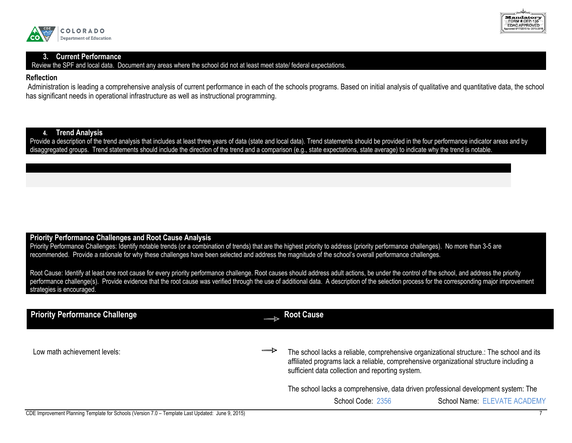



## **3. Current Performance**

Review the SPF and local data. Document any areas where the school did not at least meet state/ federal expectations.

#### **Reflection**

Administration is leading a comprehensive analysis of current performance in each of the schools programs. Based on initial analysis of qualitative and quantitative data, the school has significant needs in operational infrastructure as well as instructional programming.

#### **4. Trend Analysis**

Provide a description of the trend analysis that includes at least three years of data (state and local data). Trend statements should be provided in the four performance indicator areas and by disaggregated groups. Trend statements should include the direction of the trend and a comparison (e.g., state expectations, state average) to indicate why the trend is notable.

## **Priority Performance Challenges and Root Cause Analysis**

Priority Performance Challenges: Identify notable trends (or a combination of trends) that are the highest priority to address (priority performance challenges). No more than 3-5 are recommended. Provide a rationale for why these challenges have been selected and address the magnitude of the school's overall performance challenges.

Root Cause: Identify at least one root cause for every priority performance challenge. Root causes should address adult actions, be under the control of the school, and address the priority performance challenge(s). Provide evidence that the root cause was verified through the use of additional data. A description of the selection process for the corresponding major improvement strategies is encouraged.

| <b>Priority Performance Challenge</b> |               | <b>Root Cause</b>                                                                                                                                                                                                                       |                              |
|---------------------------------------|---------------|-----------------------------------------------------------------------------------------------------------------------------------------------------------------------------------------------------------------------------------------|------------------------------|
| Low math achievement levels:          | $\Rightarrow$ | The school lacks a reliable, comprehensive organizational structure.: The school and its<br>affiliated programs lack a reliable, comprehensive organizational structure including a<br>sufficient data collection and reporting system. |                              |
|                                       |               | The school lacks a comprehensive, data driven professional development system: The                                                                                                                                                      |                              |
|                                       |               | School Code: 2356                                                                                                                                                                                                                       | School Name: ELEVATE ACADEMY |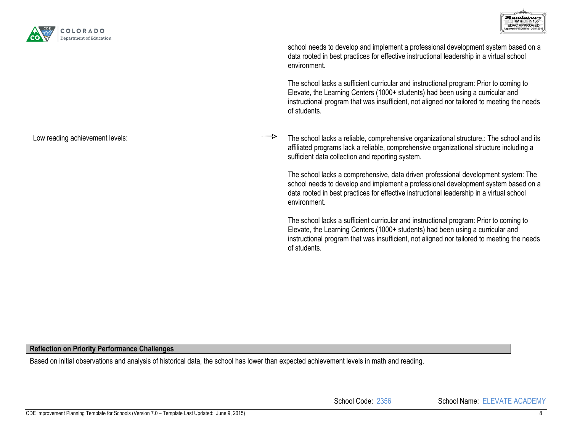



school needs to develop and implement a professional development system based on a data rooted in best practices for effective instructional leadership in a virtual school environment.

The school lacks a sufficient curricular and instructional program: Prior to coming to Elevate, the Learning Centers (1000+ students) had been using a curricular and instructional program that was insufficient, not aligned nor tailored to meeting the needs of students.

Low reading achievement levels:  $\longrightarrow$  The school lacks a reliable, comprehensive organizational structure.: The school and its affiliated programs lack a reliable, comprehensive organizational structure including a sufficient data collection and reporting system.

> The school lacks a comprehensive, data driven professional development system: The school needs to develop and implement a professional development system based on a data rooted in best practices for effective instructional leadership in a virtual school environment.

> The school lacks a sufficient curricular and instructional program: Prior to coming to Elevate, the Learning Centers (1000+ students) had been using a curricular and instructional program that was insufficient, not aligned nor tailored to meeting the needs of students.

#### **Reflection on Priority Performance Challenges**

Based on initial observations and analysis of historical data, the school has lower than expected achievement levels in math and reading.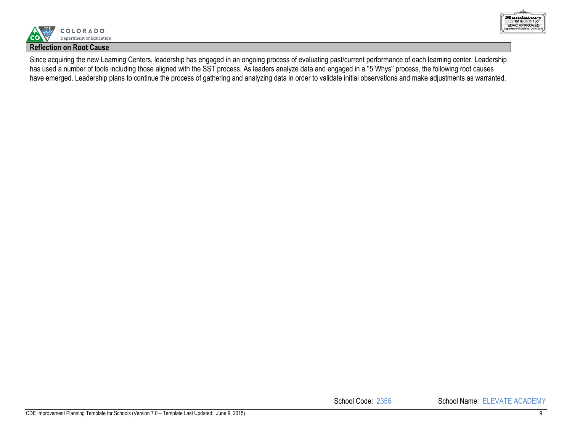



## **Reflection on Root Cause**

Since acquiring the new Learning Centers, leadership has engaged in an ongoing process of evaluating past/current performance of each learning center. Leadership has used a number of tools including those aligned with the SST process. As leaders analyze data and engaged in a ''5 Whys'' process, the following root causes have emerged. Leadership plans to continue the process of gathering and analyzing data in order to validate initial observations and make adjustments as warranted.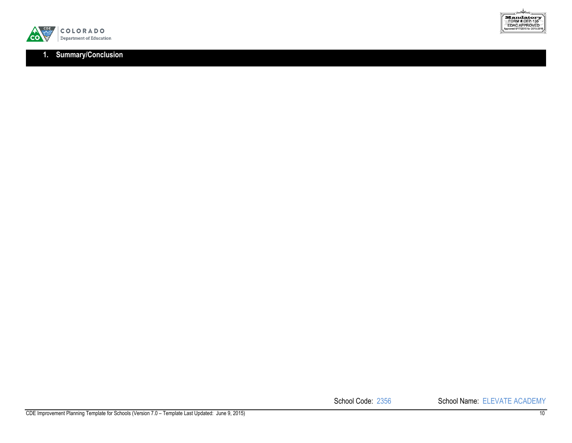

**1. Summary/Conclusion**

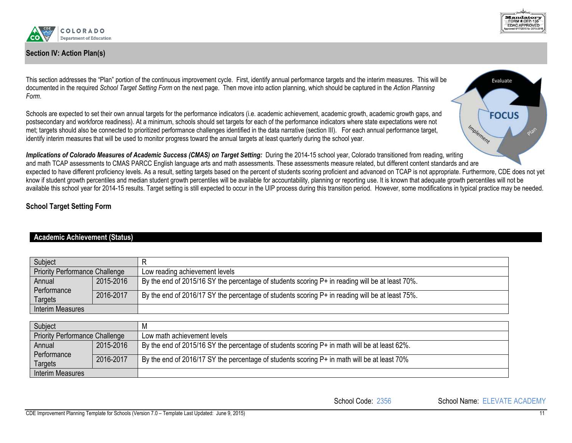

## **Section IV: Action Plan(s)**



This section addresses the "Plan" portion of the continuous improvement cycle. First, identify annual performance targets and the interim measures. This will be documented in the required *School Target Setting Form* on the next page. Then move into action planning, which should be captured in the *Action Planning Form*.

Schools are expected to set their own annual targets for the performance indicators (i.e. academic achievement, academic growth, academic growth gaps, and postsecondary and workforce readiness). At a minimum, schools should set targets for each of the performance indicators where state expectations were not met; targets should also be connected to prioritized performance challenges identified in the data narrative (section III). For each annual performance target, identify interim measures that will be used to monitor progress toward the annual targets at least quarterly during the school year.



Implications of Colorado Measures of Academic Success (CMAS) on Target Setting: During the 2014-15 school year, Colorado transitioned from reading, writing and math TCAP assessments to CMAS PARCC English language arts and math assessments. These assessments measure related, but different content standards and are expected to have different proficiency levels. As a result, setting targets based on the percent of students scoring proficient and advanced on TCAP is not appropriate. Furthermore, CDE does not yet know if student growth percentiles and median student growth percentiles will be available for accountability, planning or reporting use. It is known that adequate growth percentiles will not be available this school year for 2014-15 results. Target setting is still expected to occur in the UIP process during this transition period. However, some modifications in typical practice may be needed.

## **School Target Setting Form**

## **Academic Achievement (Status)**

| Subject                               |           |                                                                                                 |
|---------------------------------------|-----------|-------------------------------------------------------------------------------------------------|
| <b>Priority Performance Challenge</b> |           | Low reading achievement levels                                                                  |
| Annual                                | 2015-2016 | By the end of 2015/16 SY the percentage of students scoring P+ in reading will be at least 70%. |
| Performance                           | 2016-2017 | By the end of 2016/17 SY the percentage of students scoring P+ in reading will be at least 75%. |
| Targets                               |           |                                                                                                 |
| <b>Interim Measures</b>               |           |                                                                                                 |

| Subject                               |           | M                                                                                            |
|---------------------------------------|-----------|----------------------------------------------------------------------------------------------|
| <b>Priority Performance Challenge</b> |           | Low math achievement levels                                                                  |
| Annual                                | 2015-2016 | By the end of 2015/16 SY the percentage of students scoring P+ in math will be at least 62%. |
| Performance                           | 2016-2017 | By the end of 2016/17 SY the percentage of students scoring P+ in math will be at least 70%  |
| Targets                               |           |                                                                                              |
| Interim Measures                      |           |                                                                                              |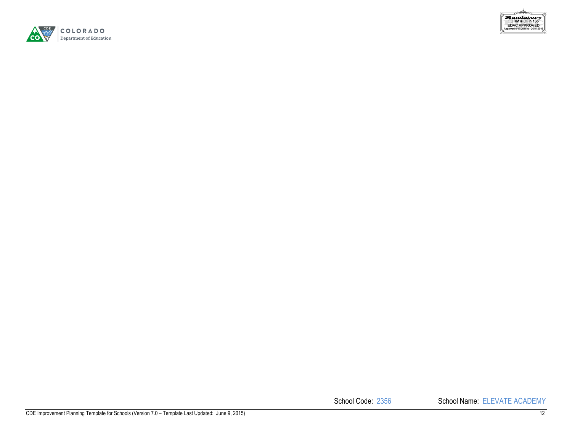

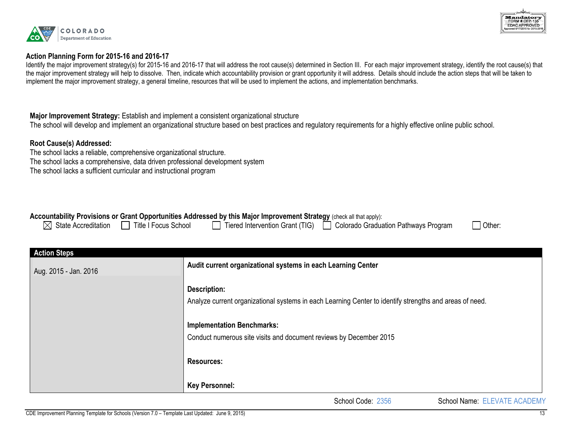

#### **Action Planning Form for 2015-16 and 2016-17**

COLORADO Department of Education

Identify the major improvement strategy(s) for 2015-16 and 2016-17 that will address the root cause(s) determined in Section III. For each major improvement strategy, identify the root cause(s) that the major improvement strategy will help to dissolve. Then, indicate which accountability provision or grant opportunity it will address. Details should include the action steps that will be taken to implement the major improvement strategy, a general timeline, resources that will be used to implement the actions, and implementation benchmarks.

#### **Major Improvement Strategy:** Establish and implement a consistent organizational structure

The school will develop and implement an organizational structure based on best practices and regulatory requirements for a highly effective online public school.

#### **Root Cause(s) Addressed:**

The school lacks a reliable, comprehensive organizational structure. The school lacks a comprehensive, data driven professional development system The school lacks a sufficient curricular and instructional program

#### **Accountability Provisions or Grant Opportunities Addressed by this Major Improvement Strategy** (check all that apply):

|                                 |                      |                                 | . . |                                      |        |
|---------------------------------|----------------------|---------------------------------|-----|--------------------------------------|--------|
| $\boxtimes$ State Accreditation | Title I Focus School | Tiered Intervention Grant (TIG) |     | Colorado Graduation Pathways Program | Other: |

| <b>Action Steps</b>   |                                                                                                         |
|-----------------------|---------------------------------------------------------------------------------------------------------|
| Aug. 2015 - Jan. 2016 | Audit current organizational systems in each Learning Center                                            |
|                       | <b>Description:</b>                                                                                     |
|                       | Analyze current organizational systems in each Learning Center to identify strengths and areas of need. |
|                       | <b>Implementation Benchmarks:</b>                                                                       |
|                       | Conduct numerous site visits and document reviews by December 2015                                      |
|                       | <b>Resources:</b>                                                                                       |
|                       | <b>Key Personnel:</b>                                                                                   |

School Code: 2356 School Name: ELEVATE ACADEMY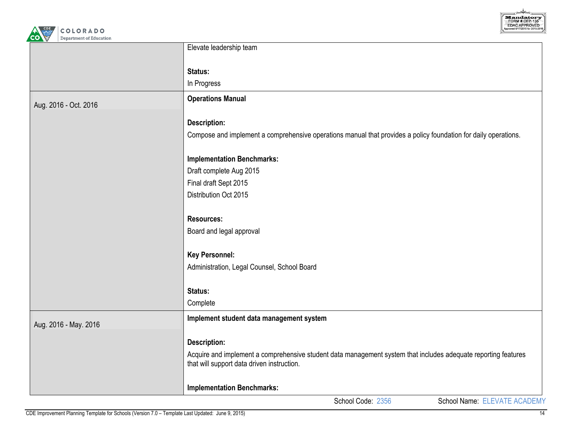



|                       | Elevate leadership team                                                                                         |
|-----------------------|-----------------------------------------------------------------------------------------------------------------|
|                       |                                                                                                                 |
|                       | Status:                                                                                                         |
|                       | In Progress                                                                                                     |
| Aug. 2016 - Oct. 2016 | <b>Operations Manual</b>                                                                                        |
|                       | <b>Description:</b>                                                                                             |
|                       | Compose and implement a comprehensive operations manual that provides a policy foundation for daily operations. |
|                       | <b>Implementation Benchmarks:</b>                                                                               |
|                       | Draft complete Aug 2015                                                                                         |
|                       | Final draft Sept 2015                                                                                           |
|                       | Distribution Oct 2015                                                                                           |
|                       |                                                                                                                 |
|                       | <b>Resources:</b>                                                                                               |
|                       | Board and legal approval                                                                                        |
|                       | <b>Key Personnel:</b>                                                                                           |
|                       | Administration, Legal Counsel, School Board                                                                     |
|                       |                                                                                                                 |
|                       | Status:                                                                                                         |
|                       | Complete                                                                                                        |
| Aug. 2016 - May. 2016 | Implement student data management system                                                                        |
|                       | <b>Description:</b>                                                                                             |
|                       | Acquire and implement a comprehensive student data management system that includes adequate reporting features  |
|                       | that will support data driven instruction.                                                                      |
|                       | <b>Implementation Benchmarks:</b>                                                                               |
|                       |                                                                                                                 |
|                       | School Name: ELEVATE ACADEMY<br>School Code: 2356                                                               |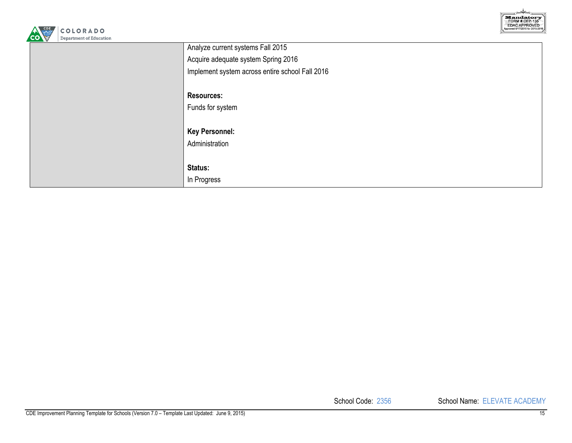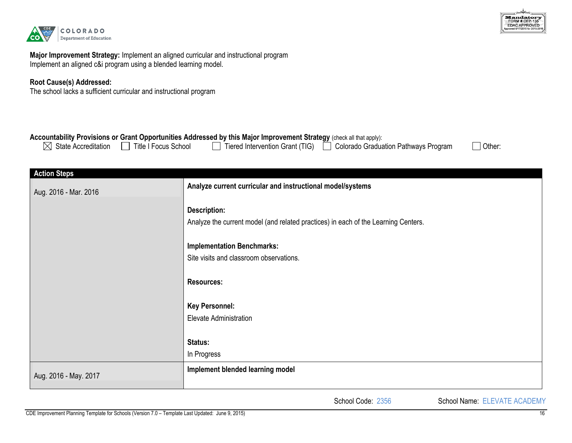



**Major Improvement Strategy:** Implement an aligned curricular and instructional program Implement an aligned c&i program using a blended learning model.

## **Root Cause(s) Addressed:**

The school lacks a sufficient curricular and instructional program

# **Accountability Provisions or Grant Opportunities Addressed by this Major Improvement Strategy (check all that apply):<br>
State Accreditation | Title I Focus School | Tiered Intervention Grant (TIG) | Colorado Gradual**

Tiered Intervention Grant (TIG) **I** Colorado Graduation Pathways Program **I** Other:

| <b>Action Steps</b>   |                                                                                    |
|-----------------------|------------------------------------------------------------------------------------|
| Aug. 2016 - Mar. 2016 | Analyze current curricular and instructional model/systems                         |
|                       | <b>Description:</b>                                                                |
|                       | Analyze the current model (and related practices) in each of the Learning Centers. |
|                       | <b>Implementation Benchmarks:</b>                                                  |
|                       | Site visits and classroom observations.                                            |
|                       | <b>Resources:</b>                                                                  |
|                       | <b>Key Personnel:</b>                                                              |
|                       | <b>Elevate Administration</b>                                                      |
|                       | Status:                                                                            |
|                       | In Progress                                                                        |
| Aug. 2016 - May. 2017 | Implement blended learning model                                                   |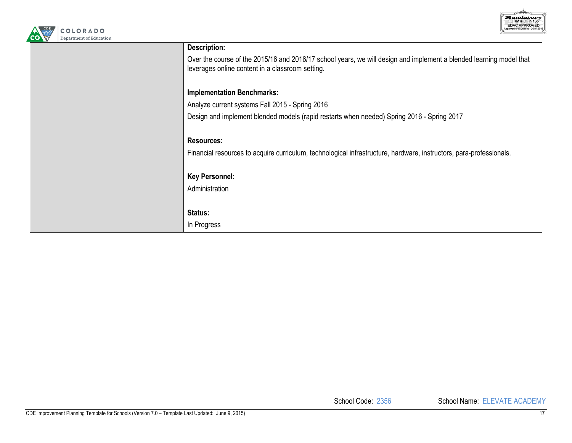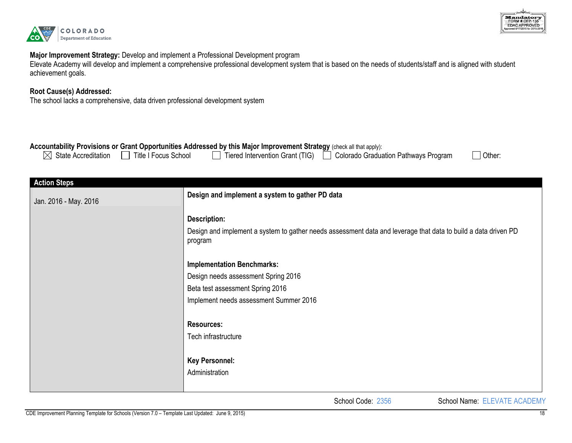



## **Major Improvement Strategy:** Develop and implement a Professional Development program

Elevate Academy will develop and implement a comprehensive professional development system that is based on the needs of students/staff and is aligned with student achievement goals.

## **Root Cause(s) Addressed:**

The school lacks a comprehensive, data driven professional development system

## **Accountability Provisions or Grant Opportunities Addressed by this Major Improvement Strategy (check all that apply):<br>
State Accreditation <b>I** Title I Focus School **I** Tiered Intervention Grant (TIG) **I** Colorado Gradua Tiered Intervention Grant (TIG) **I** Colorado Graduation Pathways Program **I** Other:

| <b>Action Steps</b>   |                                                                                                                                                        |
|-----------------------|--------------------------------------------------------------------------------------------------------------------------------------------------------|
| Jan. 2016 - May. 2016 | Design and implement a system to gather PD data                                                                                                        |
|                       | <b>Description:</b><br>Design and implement a system to gather needs assessment data and leverage that data to build a data driven PD<br>program       |
|                       | <b>Implementation Benchmarks:</b><br>Design needs assessment Spring 2016<br>Beta test assessment Spring 2016<br>Implement needs assessment Summer 2016 |
|                       | <b>Resources:</b><br>Tech infrastructure                                                                                                               |
|                       | <b>Key Personnel:</b><br>Administration                                                                                                                |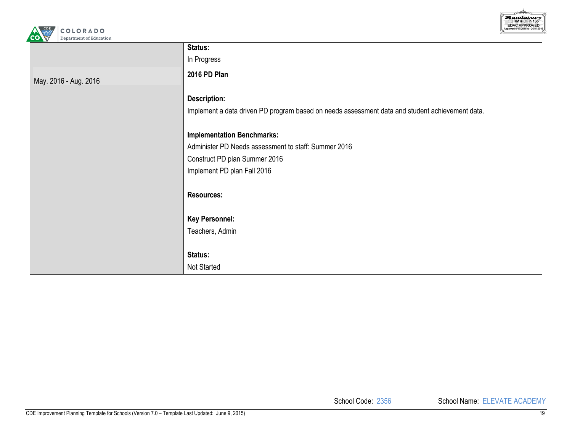



|                       | Status:                                                                                         |
|-----------------------|-------------------------------------------------------------------------------------------------|
|                       | In Progress                                                                                     |
| May. 2016 - Aug. 2016 | 2016 PD Plan                                                                                    |
|                       | <b>Description:</b>                                                                             |
|                       | Implement a data driven PD program based on needs assessment data and student achievement data. |
|                       | <b>Implementation Benchmarks:</b>                                                               |
|                       | Administer PD Needs assessment to staff: Summer 2016                                            |
|                       | Construct PD plan Summer 2016                                                                   |
|                       | Implement PD plan Fall 2016                                                                     |
|                       |                                                                                                 |
|                       | <b>Resources:</b>                                                                               |
|                       |                                                                                                 |
|                       | <b>Key Personnel:</b>                                                                           |
|                       | Teachers, Admin                                                                                 |
|                       |                                                                                                 |
|                       | Status:                                                                                         |
|                       | Not Started                                                                                     |